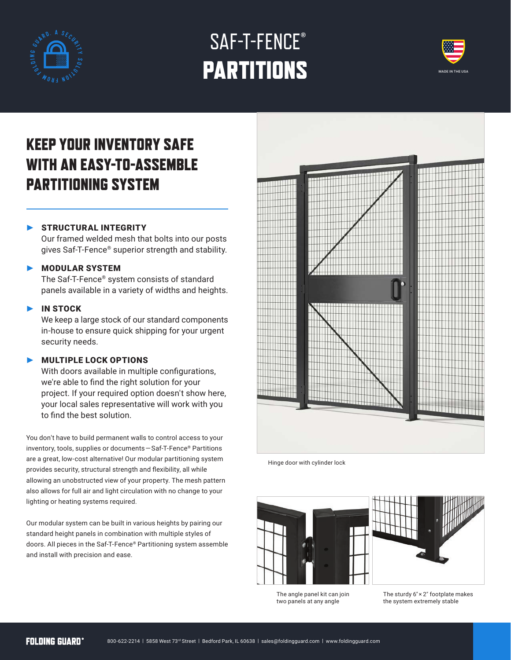

# SAF-T-FENCE**®** PARTITIONS



## KEEP YOUR INVENTORY SAFE WITH AN EASY-TO-ASSEMBLE PARTITIONING SYSTEM

### STRUCTURAL INTEGRITY

Our framed welded mesh that bolts into our posts gives Saf-T-Fence® superior strength and stability.

#### ‣ MODULAR SYSTEM

The Saf-T-Fence® system consists of standard panels available in a variety of widths and heights.

#### **IN STOCK**

We keep a large stock of our standard components in-house to ensure quick shipping for your urgent security needs.

#### **NULTIPLE LOCK OPTIONS**

With doors available in multiple configurations, we're able to find the right solution for your project. If your required option doesn't show here, your local sales representative will work with you to find the best solution.

You don't have to build permanent walls to control access to your inventory, tools, supplies or documents — Saf-T-Fence® Partitions are a great, low-cost alternative! Our modular partitioning system provides security, structural strength and flexibility, all while allowing an unobstructed view of your property. The mesh pattern also allows for full air and light circulation with no change to your lighting or heating systems required.

Our modular system can be built in various heights by pairing our standard height panels in combination with multiple styles of doors. All pieces in the Saf-T-Fence® Partitioning system assemble and install with precision and ease.



Hinge door with cylinder lock





The angle panel kit can join two panels at any angle

The sturdy 6" × 2" footplate makes the system extremely stable